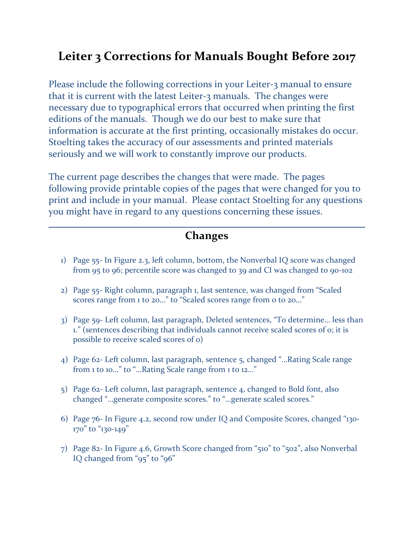## **Leiter 3 Corrections for Manuals Bought Before 2017**

Please include the following corrections in your Leiter-3 manual to ensure that it is current with the latest Leiter-3 manuals. The changes were necessary due to typographical errors that occurred when printing the first editions of the manuals. Though we do our best to make sure that information is accurate at the first printing, occasionally mistakes do occur. Stoelting takes the accuracy of our assessments and printed materials seriously and we will work to constantly improve our products.

The current page describes the changes that were made. The pages following provide printable copies of the pages that were changed for you to print and include in your manual. Please contact Stoelting for any questions you might have in regard to any questions concerning these issues.

### **Changes**

- 1) Page 55- In Figure 2.3, left column, bottom, the Nonverbal IQ score was changed from 95 to 96; percentile score was changed to 39 and CI was changed to 90-102
- 2) Page 55- Right column, paragraph 1, last sentence, was changed from "Scaled scores range from 1 to 20..." to "Scaled scores range from 0 to 20..."
- 3) Page 59- Left column, last paragraph, Deleted sentences, "To determine… less than 1." (sentences describing that individuals cannot receive scaled scores of 0; it is possible to receive scaled scores of 0)
- 4) Page 62- Left column, last paragraph, sentence 5, changed "…Rating Scale range from 1 to 10…" to "…Rating Scale range from 1 to 12…"
- 5) Page 62- Left column, last paragraph, sentence 4, changed to Bold font, also changed "…generate composite scores." to "…generate scaled scores."
- 6) Page 76- In Figure 4.2, second row under IQ and Composite Scores, changed "130- 170" to "130-149"
- 7) Page 82- In Figure 4.6, Growth Score changed from "510" to "502", also Nonverbal IQ changed from "95" to "96"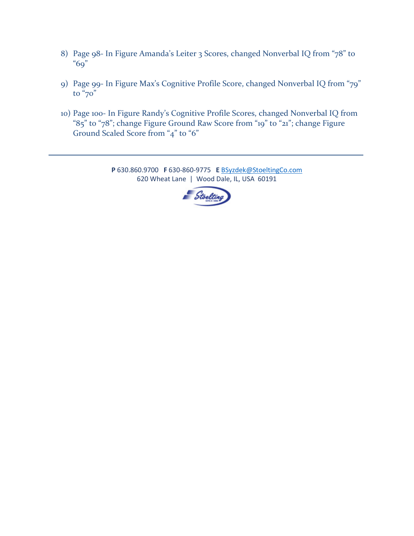- 8) Page 98- In Figure Amanda's Leiter 3 Scores, changed Nonverbal IQ from "78" to "69"
- 9) Page 99- In Figure Max's Cognitive Profile Score, changed Nonverbal IQ from "79" to "70"
- 10) Page 100- In Figure Randy's Cognitive Profile Scores, changed Nonverbal IQ from "85" to "78"; change Figure Ground Raw Score from "19" to "21"; change Figure Ground Scaled Score from "4" to "6"

**P** 630.860.9700 **F** 630-860-9775 **E** [BSyzdek@StoeltingCo.com](mailto:BSyzdek@StoeltingCo.com) 620 Wheat Lane | Wood Dale, IL, USA 60191

\_\_\_\_\_\_\_\_\_\_\_\_\_\_\_\_\_\_\_\_\_\_\_\_\_\_\_\_\_\_\_\_\_\_\_\_\_\_\_\_\_\_\_\_\_\_\_\_\_\_\_\_\_\_\_\_\_\_\_\_\_\_\_\_\_\_\_\_\_\_\_\_\_\_\_\_\_\_\_\_\_\_\_\_\_

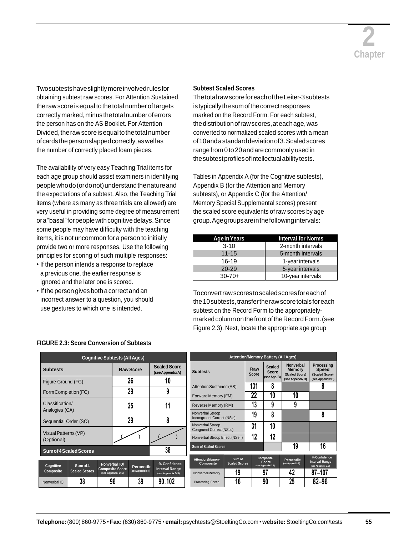

Twosubtestshaveslightlymoreinvolvedrulesfor obtaining subtest raw scores. For Attention Sustained, the raw score is equal to the total number of targets correctly marked, minus the total number of errors the person has on the AS Booklet. For Attention Divided, the raw score is equal to the total number ofcardsthepersonslappedcorrectly,aswellas the number of correctly placed foam pieces.

The availability of very easy Teaching Trial items for each age group should assist examiners in identifying peoplewhodo(ordonot)understandthenatureand the expectations of a subtest. Also, the Teaching Trial items (where as many as three trials are allowed) are very useful in providing some degree of measurement ora"basal"forpeoplewithcognitivedelays.Since some people may have difficulty with the teaching items, it is not uncommon for a person to initially provide two or more responses. Use the following principles for scoring of such multiple responses:

- If the person intends a response to replace a previous one, the earlier response is ignored and the later one is scored.
- If the person gives both a correct and an incorrect answer to a question, you should use gestures to which one is intended.

### **Subtest Scaled Scores**

The total raw score for each of the Leiter-3 subtests istypicallythesumofthecorrectresponses marked on the Record Form. For each subtest, thedistributionofrawscores,ateachage,was converted to normalized scaled scores with a mean of10andastandarddeviationof3.Scaledscores range from 0 to 20 and are commonly used in the subtest profiles of intellectual ability tests.

Tables in Appendix A (for the Cognitive subtests), Appendix B (for the Attention and Memory subtests), or Appendix C (for the Attention/ Memory Special Supplemental scores) present the scaled score equivalents of raw scores by age group.Agegroupsareinthefollowingintervals:

| Age in Years | <b>Interval for Norms</b> |  |  |
|--------------|---------------------------|--|--|
| $3 - 10$     | 2-month intervals         |  |  |
| $11 - 15$    | 5-month intervals         |  |  |
| 16-19        | 1-year intervals          |  |  |
| $20 - 29$    | 5-year intervals          |  |  |
| $30 - 70 +$  | 10-year intervals         |  |  |

Toconvertrawscorestoscaledscoresforeachof the 10 subtests, transfer the raw score totals for each subtest on the Record Form to the appropriatelymarkedcolumnonthefrontoftheRecordForm.(see Figure 2.3). Next, locate the appropriate age group

|                                    |                      | <b>Cognitive Subtests (All Ages)</b>         |                   |                                             |                                              |                      |                     | <b>Attention/Memory Battery (All Ages)</b> |                                              |                                              |
|------------------------------------|----------------------|----------------------------------------------|-------------------|---------------------------------------------|----------------------------------------------|----------------------|---------------------|--------------------------------------------|----------------------------------------------|----------------------------------------------|
| <b>Subtests</b>                    |                      |                                              | <b>Raw Score</b>  | <b>Scaled Score</b><br>(see Appendix A)     | <b>Subtests</b>                              |                      | Raw<br><b>Score</b> | <b>Scaled</b><br>Score                     | Nonverbal<br><b>Memory</b><br>(Scaled Score) | Processing<br><b>Speed</b><br>(Scaled Score) |
| Figure Ground (FG)                 |                      |                                              | 26                | 10                                          |                                              |                      |                     | (see App. B)                               | (see Appendix B)                             | (see Appendix B)                             |
| Form Completion (FC)               |                      |                                              | 29                | 9                                           | <b>Attention Sustained (AS)</b>              |                      | 131                 | 8                                          |                                              |                                              |
|                                    |                      |                                              |                   |                                             | Forward Memory (FM)                          |                      | 22                  | 10                                         | 10                                           |                                              |
| Classification/                    |                      |                                              | 25                | 11                                          | Reverse Memory (RM)                          |                      | 13                  | 9                                          | 9                                            |                                              |
| Analogies (CA)                     |                      |                                              |                   |                                             | Nonverbal Stroop                             |                      | 19                  | 8                                          |                                              | 8                                            |
| Sequential Order (SO)              |                      |                                              | 29                | 8                                           | Incongruent Correct (NSic)                   |                      |                     |                                            |                                              |                                              |
|                                    |                      |                                              |                   |                                             | Nonverbal Stroop<br>Congruent Correct (NScc) |                      | 31                  | 10                                         |                                              |                                              |
| Visual Patterns (VP)<br>(Optional) |                      |                                              |                   |                                             | Nonverbal Stroop Effect (NSeff)              |                      | 12                  | 12                                         |                                              |                                              |
| <b>Sum of 4 Scaled Scores</b>      |                      |                                              |                   | 38                                          | <b>Sum of Scaled Scores</b>                  |                      |                     |                                            | 19                                           | 16                                           |
|                                    |                      |                                              |                   |                                             | <b>Attention/Memory</b>                      | Sum of               |                     | Composite                                  |                                              | % Confidence                                 |
| Cognitive                          | Sum of 4             | Nonverbal IQ/                                | <b>Percentile</b> | % Confidence                                | Composite                                    | <b>Scaled Scores</b> |                     | Score<br>(see Appendix D.2)                | <b>Percentile</b><br>(see Appendix F)        | <b>Interval Range</b><br>(see Appendix D.3)  |
| Composite                          | <b>Scaled Scores</b> | <b>Composite Score</b><br>(see Appendix D.1) | (see Appendix F)  | <b>Interval Range</b><br>(see Appendix D.3) | Nonverbal Memory                             | 19                   |                     | 97                                         | 42                                           | 87–107                                       |
| Nonverbal IQ                       | 38                   | 96                                           | 39                | $90 - 102$                                  | Processing Speed                             | 16                   |                     | 90                                         | 25                                           | $82 - 96$                                    |

### **FIGURE 2.3: Score Conversion of Subtests**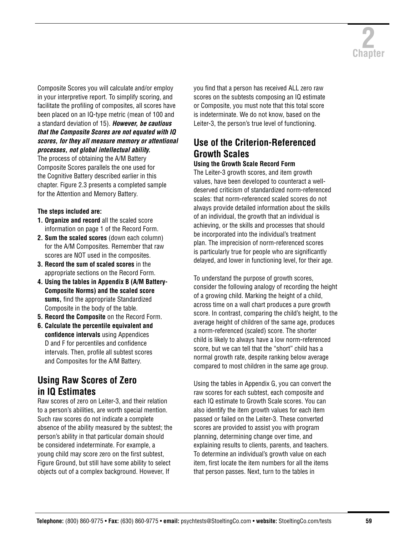

Composite Scores you will calculate and/or employ in your interpretive report. To simplify scoring, and facilitate the profiling of composites, all scores have been placed on an IQ-type metric (mean of 100 and a standard deviation of 15). *However, be cautious that the Composite Scores are not equated with IQ scores, for they all measure memory or attentional processes, not global intellectual ability.* 

The process of obtaining the A/M Battery Composite Scores parallels the one used for the Cognitive Battery described earlier in this chapter. Figure 2.3 presents a completed sample for the Attention and Memory Battery.

### **The steps included are:**

- **1. Organize and record** all the scaled score information on page 1 of the Record Form.
- **2. Sum the scaled scores** (down each column) for the A/M Composites. Remember that raw scores are NOT used in the composites.
- **3. Record the sum of scaled scores** in the appropriate sections on the Record Form.
- **4. Using the tables in Appendix B (A/M Battery-Composite Norms) and the scaled score sums,** find the appropriate Standardized Composite in the body of the table.
- **5. Record the Composite** on the Record Form.
- **6. Calculate the percentile equivalent and confidence intervals** using Appendices D and F for percentiles and confidence intervals. Then, profile all subtest scores and Composites for the A/M Battery.

### **Using Raw Scores of Zero in IQ Estimates**

Raw scores of zero on Leiter-3, and their relation to a person's abilities, are worth special mention. Such raw scores do not indicate a complete absence of the ability measured by the subtest; the person's ability in that particular domain should be considered indeterminate. For example, a young child may score zero on the first subtest, Figure Ground, but still have some ability to select objects out of a complex background. However, If

you find that a person has received ALL zero raw scores on the subtests composing an IQ estimate or Composite, you must note that this total score is indeterminate. We do not know, based on the Leiter-3, the person's true level of functioning.

### **Use of the Criterion-Referenced Growth Scales**

### **Using the Growth Scale Record Form**

The Leiter-3 growth scores, and item growth values, have been developed to counteract a welldeserved criticism of standardized norm-referenced scales: that norm-referenced scaled scores do not always provide detailed information about the skills of an individual, the growth that an individual is achieving, or the skills and processes that should be incorporated into the individual's treatment plan. The imprecision of norm-referenced scores is particularly true for people who are significantly delayed, and lower in functioning level, for their age.

To understand the purpose of growth scores, consider the following analogy of recording the height of a growing child. Marking the height of a child, across time on a wall chart produces a pure growth score. In contrast, comparing the child's height, to the average height of children of the same age, produces a norm-referenced (scaled) score. The shorter child is likely to always have a low norm-referenced score, but we can tell that the "short" child has a normal growth rate, despite ranking below average compared to most children in the same age group.

Using the tables in Appendix G, you can convert the raw scores for each subtest, each composite and each IQ estimate to Growth Scale scores. You can also identify the item growth values for each item passed or failed on the Leiter-3. These converted scores are provided to assist you with program planning, determining change over time, and explaining results to clients, parents, and teachers. To determine an individual's growth value on each item, first locate the item numbers for all the items that person passes. Next, turn to the tables in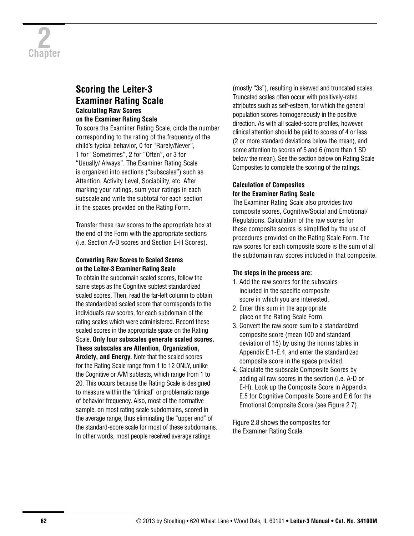### **Scoring the Leiter-3 Examiner Rating Scale Calculating Raw Scores on the Examiner Rating Scale**

To score the Examiner Rating Scale, circle the number corresponding to the rating of the frequency of the child's typical behavior, 0 for "Rarely/Never", 1 for "Sometimes", 2 for "Often", or 3 for "Usually/ Always". The Examiner Rating Scale is organized into sections ("subscales") such as Attention, Activity Level, Sociability, etc. After marking your ratings, sum your ratings in each subscale and write the subtotal for each section in the spaces provided on the Rating Form.

Transfer these raw scores to the appropriate box at the end of the Form with the appropriate sections (i.e. Section A-D scores and Section E-H Scores).

### **Converting Raw Scores to Scaled Scores on the Leiter-3 Examiner Rating Scale**

To obtain the subdomain scaled scores, follow the same steps as the Cognitive subtest standardized scaled scores. Then, read the far-left column to obtain the standardized scaled score that corresponds to the individual's raw scores, for each subdomain of the rating scales which were administered. Record these scaled scores in the appropriate space on the Rating Scale. **Only four subscales generate scaled scores. These subscales are Attention, Organization, Anxiety, and Energy.** Note that the scaled scores for the Rating Scale range from 1 to 12 ONLY, unlike the Cognitive or A/M subtests, which range from 1 to 20. This occurs because the Rating Scale is designed to measure within the "clinical" or problematic range of behavior frequency. Also, most of the normative sample, on most rating scale subdomains, scored in the average range, thus eliminating the "upper end" of the standard-score scale for most of these subdomains. In other words, most people received average ratings

(mostly "3s"), resulting in skewed and truncated scales. Truncated scales often occur with positively-rated attributes such as self-esteem, for which the general population scores homogeneously in the positive direction. As with all scaled-score profiles, however, clinical attention should be paid to scores of 4 or less (2 or more standard deviations below the mean), and some attention to scores of 5 and 6 (more than 1 SD below the mean). See the section below on Rating Scale Composites to complete the scoring of the ratings.

### **Calculation of Composites for the Examiner Rating Scale**

The Examiner Rating Scale also provides two composite scores, Cognitive/Social and Emotional/ Regulations. Calculation of the raw scores for these composite scores is simplified by the use of procedures provided on the Rating Scale Form. The raw scores for each composite score is the sum of all the subdomain raw scores included in that composite.

### **The steps in the process are:**

- 1. Add the raw scores for the subscales included in the specific composite score in which you are interested.
- 2. Enter this sum in the appropriate place on the Rating Scale Form.
- 3. Convert the raw score sum to a standardized composite score (mean 100 and standard deviation of 15) by using the norms tables in Appendix E.1-E.4, and enter the standardized composite score in the space provided.
- 4. Calculate the subscale Composite Scores by adding all raw scores in the section (i.e. A-D or E-H). Look up the Composite Score in Appendix E.5 for Cognitive Composite Score and E.6 for the Emotional Composite Score (see Figure 2.7).

Figure 2.8 shows the composites for the Examiner Rating Scale.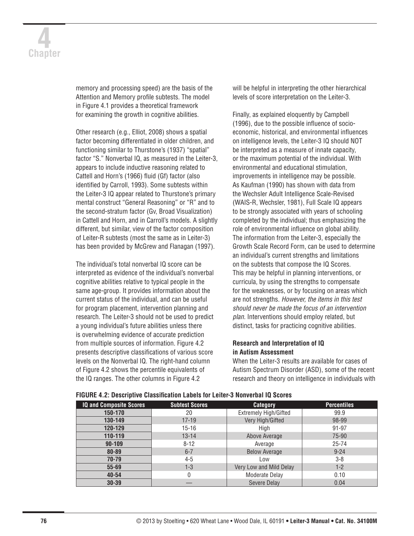# **4 Chapter**

memory and processing speed) are the basis of the Attention and Memory profile subtests. The model in Figure 4.1 provides a theoretical framework for examining the growth in cognitive abilities.

Other research (e.g., Elliot, 2008) shows a spatial factor becoming differentiated in older children, and functioning similar to Thurstone's (1937) "spatial" factor "S." Nonverbal IQ, as measured in the Leiter-3, appears to include inductive reasoning related to Cattell and Horn's (1966) fluid (Gf) factor (also identified by Carroll, 1993). Some subtests within the Leiter-3 IQ appear related to Thurstone's primary mental construct "General Reasoning" or "R" and to the second-stratum factor (Gv, Broad Visualization) in Cattell and Horn, and in Carroll's models. A slightly different, but similar, view of the factor composition of Leiter-R subtests (most the same as in Leiter-3) has been provided by McGrew and Flanagan (1997).

The individual's total nonverbal IQ score can be interpreted as evidence of the individual's nonverbal cognitive abilities relative to typical people in the same age-group. It provides information about the current status of the individual, and can be useful for program placement, intervention planning and research. The Leiter-3 should not be used to predict a young individual's future abilities unless there is overwhelming evidence of accurate prediction from multiple sources of information. Figure 4.2 presents descriptive classifications of various score levels on the Nonverbal IQ. The right-hand column of Figure 4.2 shows the percentile equivalents of the IQ ranges. The other columns in Figure 4.2

will be helpful in interpreting the other hierarchical levels of score interpretation on the Leiter-3.

Finally, as explained eloquently by Campbell (1996), due to the possible influence of socioeconomic, historical, and environmental influences on intelligence levels, the Leiter-3 IQ should NOT be interpreted as a measure of innate capacity, or the maximum potential of the individual. With environmental and educational stimulation, improvements in intelligence may be possible. As Kaufman (1990) has shown with data from the Wechsler Adult Intelligence Scale-Revised (WAIS-R, Wechsler, 1981), Full Scale IQ appears to be strongly associated with years of schooling completed by the individual; thus emphasizing the role of environmental influence on global ability. The information from the Leiter-3, especially the Growth Scale Record Form, can be used to determine an individual's current strengths and limitations on the subtests that compose the IQ Scores. This may be helpful in planning interventions, or curricula, by using the strengths to compensate for the weaknesses, or by focusing on areas which are not strengths. *However, the items in this test should never be made the focus of an intervention plan.* Interventions should employ related, but distinct, tasks for practicing cognitive abilities.

### **Research and Interpretation of IQ in Autism Assessment**

When the Leiter-3 results are available for cases of Autism Spectrum Disorder (ASD), some of the recent research and theory on intelligence in individuals with

| <b>IQ and Composite Scores</b> | <b>Subtest Scores</b> | <b>Category</b>              | <b>Percentiles</b> |  |  |
|--------------------------------|-----------------------|------------------------------|--------------------|--|--|
| 150-170                        | 20                    | <b>Extremely High/Gifted</b> | 99.9               |  |  |
| 130-149                        | $17 - 19$             | Very High/Gifted             | 98-99              |  |  |
| 120-129                        | $15 - 16$             | High                         | $91 - 97$          |  |  |
| 110-119                        | $13 - 14$             | Above Average                | 75-90              |  |  |
| $90 - 109$                     | $8 - 12$              | Average                      | $25 - 74$          |  |  |
| 80-89                          | $6 - 7$               | <b>Below Average</b>         | $9 - 24$           |  |  |
| $70 - 79$                      | $4 - 5$               | Low                          | $3 - 8$            |  |  |
| $55 - 69$                      | $1 - 3$               | Very Low and Mild Delay      | $1-2$              |  |  |
| $40 - 54$                      |                       | Moderate Delay               | 0.10               |  |  |
| $30 - 39$                      |                       | Severe Delay                 | 0.04               |  |  |

**FIGURE 4.2: Descriptive Classification Labels for Leiter-3 Nonverbal IQ Scores**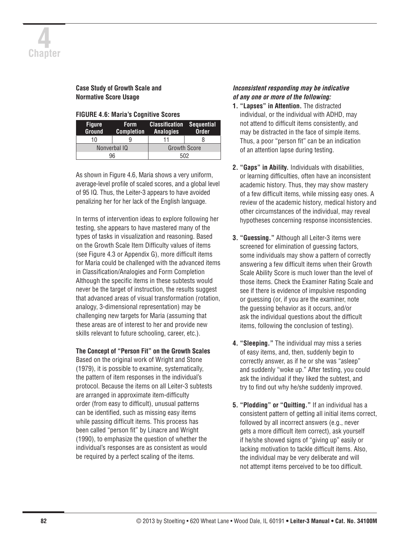### **Case Study of Growth Scale and Normative Score Usage**

| <b>FIGURE 4.6: Maria's Cognitive Scores</b> |  |  |  |
|---------------------------------------------|--|--|--|
|---------------------------------------------|--|--|--|

| <b>Figure</b><br><b>Ground</b> | <b>Form</b><br><b>Completion</b> | <b>Classification Sequential</b><br><b>Analogies</b> | <b>Order</b> |
|--------------------------------|----------------------------------|------------------------------------------------------|--------------|
| 10                             |                                  |                                                      |              |
| Nonverbal IQ                   |                                  | <b>Growth Score</b>                                  |              |
| 96                             |                                  | 502                                                  |              |

As shown in Figure 4.6, Maria shows a very uniform, average-level profile of scaled scores, and a global level of 95 IQ. Thus, the Leiter-3 appears to have avoided penalizing her for her lack of the English language.

In terms of intervention ideas to explore following her testing, she appears to have mastered many of the types of tasks in visualization and reasoning. Based on the Growth Scale Item Difficulty values of items (see Figure 4.3 or Appendix G), more difficult items for Maria could be challenged with the advanced items in Classification/Analogies and Form Completion Although the specific items in these subtests would never be the target of instruction, the results suggest that advanced areas of visual transformation (rotation, analogy, 3-dimensional representation) may be challenging new targets for Maria (assuming that these areas are of interest to her and provide new skills relevant to future schooling, career, etc.).

### **The Concept of "Person Fit" on the Growth Scales**

Based on the original work of Wright and Stone (1979), it is possible to examine, systematically, the pattern of item responses in the individual's protocol. Because the items on all Leiter-3 subtests are arranged in approximate item-difficulty order (from easy to difficult), unusual patterns can be identified, such as missing easy items while passing difficult items. This process has been called "person fit" by Linacre and Wright (1990), to emphasize the question of whether the individual's responses are as consistent as would be required by a perfect scaling of the items.

### *Inconsistent responding may be indicative of any one or more of the following:*

- **1. "Lapses" in Attention.** The distracted individual, or the individual with ADHD, may not attend to difficult items consistently, and may be distracted in the face of simple items. Thus, a poor "person fit" can be an indication of an attention lapse during testing.
- **2. "Gaps" in Ability.** Individuals with disabilities, or learning difficulties, often have an inconsistent academic history. Thus, they may show mastery of a few difficult items, while missing easy ones. A review of the academic history, medical history and other circumstances of the individual, may reveal hypotheses concerning response inconsistencies.
- **3. "Guessing."** Although all Leiter-3 items were screened for elimination of guessing factors, some individuals may show a pattern of correctly answering a few difficult items when their Growth Scale Ability Score is much lower than the level of those items. Check the Examiner Rating Scale and see if there is evidence of impulsive responding or guessing (or, if you are the examiner, note the guessing behavior as it occurs, and/or ask the individual questions about the difficult items, following the conclusion of testing).
- **4. "Sleeping."** The individual may miss a series of easy items, and, then, suddenly begin to correctly answer, as if he or she was "asleep" and suddenly "woke up." After testing, you could ask the individual if they liked the subtest, and try to find out why he/she suddenly improved.
- **5. "Plodding" or "Quitting."** If an individual has a consistent pattern of getting all initial items correct, followed by all incorrect answers (e.g., never gets a more difficult item correct), ask yourself if he/she showed signs of "giving up" easily or lacking motivation to tackle difficult items. Also, the individual may be very deliberate and will not attempt items perceived to be too difficult.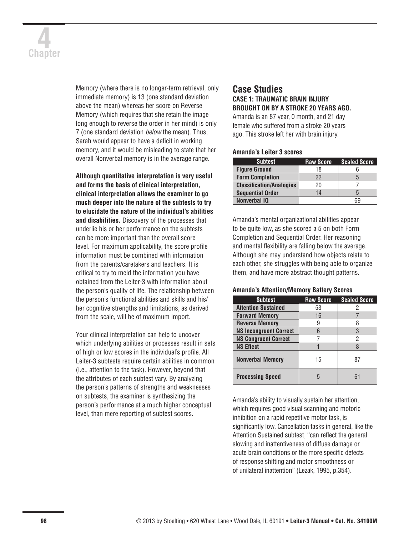# **4 Chapter**

Memory (where there is no longer-term retrieval, only immediate memory) is 13 (one standard deviation above the mean) whereas her score on Reverse Memory (which requires that she retain the image long enough to reverse the order in her mind) is only 7 (one standard deviation *below* the mean). Thus, Sarah would appear to have a deficit in working memory, and it would be misleading to state that her overall Nonverbal memory is in the average range.

**Although quantitative interpretation is very useful and forms the basis of clinical interpretation, clinical interpretation allows the examiner to go much deeper into the nature of the subtests to try to elucidate the nature of the individual's abilities and disabilities.** Discovery of the processes that underlie his or her performance on the subtests can be more important than the overall score level. For maximum applicability, the score profile information must be combined with information from the parents/caretakers and teachers. It is critical to try to meld the information you have obtained from the Leiter-3 with information about the person's quality of life. The relationship between the person's functional abilities and skills and his/ her cognitive strengths and limitations, as derived from the scale, will be of maximum import.

Your clinical interpretation can help to uncover which underlying abilities or processes result in sets of high or low scores in the individual's profile. All Leiter-3 subtests require certain abilities in common (i.e., attention to the task). However, beyond that the attributes of each subtest vary. By analyzing the person's patterns of strengths and weaknesses on subtests, the examiner is synthesizing the person's performance at a much higher conceptual level, than mere reporting of subtest scores.

### **Case Studies CASE 1: TRAUMATIC BRAIN INJURY BROUGHT ON BY A STROKE 20 YEARS AGO.**

Amanda is an 87 year, 0 month, and 21 day female who suffered from a stroke 20 years ago. This stroke left her with brain injury.

### **Amanda's Leiter 3 scores**

| <b>Subtest</b>                  | <b>Raw Score</b> | <b>Scaled Score</b> |
|---------------------------------|------------------|---------------------|
| <b>Figure Ground</b>            | 18               |                     |
| <b>Form Completion</b>          | 22               | 5                   |
| <b>Classification/Analogies</b> | 20               |                     |
| <b>Sequential Order</b>         | 14               |                     |
| <b>Nonverbal IQ</b>             |                  | 69                  |

Amanda's mental organizational abilities appear to be quite low, as she scored a 5 on both Form Completion and Sequential Order. Her reasoning and mental flexibility are falling below the average. Although she may understand how objects relate to each other, she struggles with being able to organize them, and have more abstract thought patterns.

### **Amanda's Attention/Memory Battery Scores**

| <b>Subtest</b>                | <b>Raw Score</b> | <b>Scaled Score</b> |
|-------------------------------|------------------|---------------------|
| <b>Attention Sustained</b>    | 53               |                     |
| <b>Forward Memory</b>         | 16               |                     |
| <b>Reverse Memory</b>         | 9                |                     |
| <b>NS Incongruent Correct</b> | 6                | 3                   |
| <b>NS Congruent Correct</b>   |                  | 2                   |
| <b>NS Effect</b>              |                  | 8                   |
| <b>Nonverbal Memory</b>       | 15               | 87                  |
| <b>Processing Speed</b>       | 5                | 61                  |

Amanda's ability to visually sustain her attention, which requires good visual scanning and motoric inhibition on a rapid repetitive motor task, is significantly low. Cancellation tasks in general, like the Attention Sustained subtest, "can reflect the general slowing and inattentiveness of diffuse damage or acute brain conditions or the more specific defects of response shifting and motor smoothness or of unilateral inattention" (Lezak, 1995, p.354).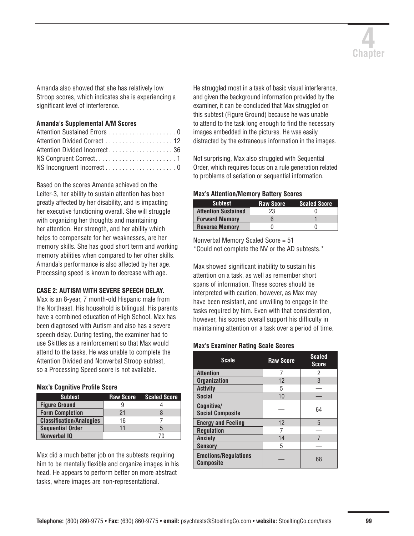

Amanda also showed that she has relatively low Stroop scores, which indicates she is experiencing a significant level of interference.

### **Amanda's Supplemental A/M Scores**

| Attention Sustained Errors 0  |
|-------------------------------|
| Attention Divided Correct  12 |
|                               |
|                               |
|                               |
|                               |

Based on the scores Amanda achieved on the Leiter-3, her ability to sustain attention has been greatly affected by her disability, and is impacting her executive functioning overall. She will struggle with organizing her thoughts and maintaining her attention. Her strength, and her ability which helps to compensate for her weaknesses, are her memory skills. She has good short term and working memory abilities when compared to her other skills. Amanda's performance is also affected by her age. Processing speed is known to decrease with age.

### **CASE 2: AUTISM WITH SEVERE SPEECH DELAY.**

Max is an 8-year, 7 month-old Hispanic male from the Northeast. His household is bilingual. His parents have a combined education of High School. Max has been diagnosed with Autism and also has a severe speech delay. During testing, the examiner had to use Skittles as a reinforcement so that Max would attend to the tasks. He was unable to complete the Attention Divided and Nonverbal Stroop subtest, so a Processing Speed score is not available.

### **Max's Cognitive Profile Score**

| <b>Subtest</b>                  | <b>Raw Score</b> | <b>Scaled Score</b> |
|---------------------------------|------------------|---------------------|
| <b>Figure Ground</b>            | 9                |                     |
| <b>Form Completion</b>          | 21               | 8                   |
| <b>Classification/Analogies</b> | 16               |                     |
| <b>Sequential Order</b>         | 11               | b                   |
| <b>Nonverbal IQ</b>             |                  |                     |

Max did a much better job on the subtests requiring him to be mentally flexible and organize images in his head. He appears to perform better on more abstract tasks, where images are non-representational.

He struggled most in a task of basic visual interference, and given the background information provided by the examiner, it can be concluded that Max struggled on this subtest (Figure Ground) because he was unable to attend to the task long enough to find the necessary images embedded in the pictures. He was easily distracted by the extraneous information in the images.

Not surprising, Max also struggled with Sequential Order, which requires focus on a rule generation related to problems of seriation or sequential information.

### **Max's Attention/Memory Battery Scores**

| <b>Subtest</b>             | <b>Raw Score</b> | <b>Scaled Score</b> |
|----------------------------|------------------|---------------------|
| <b>Attention Sustained</b> | 23               |                     |
| <b>Forward Memory</b>      |                  |                     |
| <b>Reverse Memory</b>      |                  |                     |

Nonverbal Memory Scaled Score = 51 \*Could not complete the NV or the AD subtests.\*

Max showed significant inability to sustain his attention on a task, as well as remember short spans of information. These scores should be interpreted with caution, however, as Max may have been resistant, and unwilling to engage in the tasks required by him. Even with that consideration, however, his scores overall support his difficulty in maintaining attention on a task over a period of time.

### **Max's Examiner Rating Scale Scores**

| <b>Scale</b>                                    | <b>Raw Score</b> | <b>Scaled</b><br><b>Score</b> |
|-------------------------------------------------|------------------|-------------------------------|
| <b>Attention</b>                                |                  | 2                             |
| <b>Organization</b>                             | 12               | 3                             |
| <b>Activity</b>                                 | 5                |                               |
| <b>Social</b>                                   | 10               |                               |
| Cognitive/<br><b>Social Composite</b>           |                  | 64                            |
| <b>Energy and Feeling</b>                       | 12               | 5                             |
| <b>Regulation</b>                               |                  |                               |
| <b>Anxiety</b>                                  | 14               | 7                             |
| <b>Sensory</b>                                  | 5                |                               |
| <b>Emotions/Regulations</b><br><b>Composite</b> |                  | 68                            |